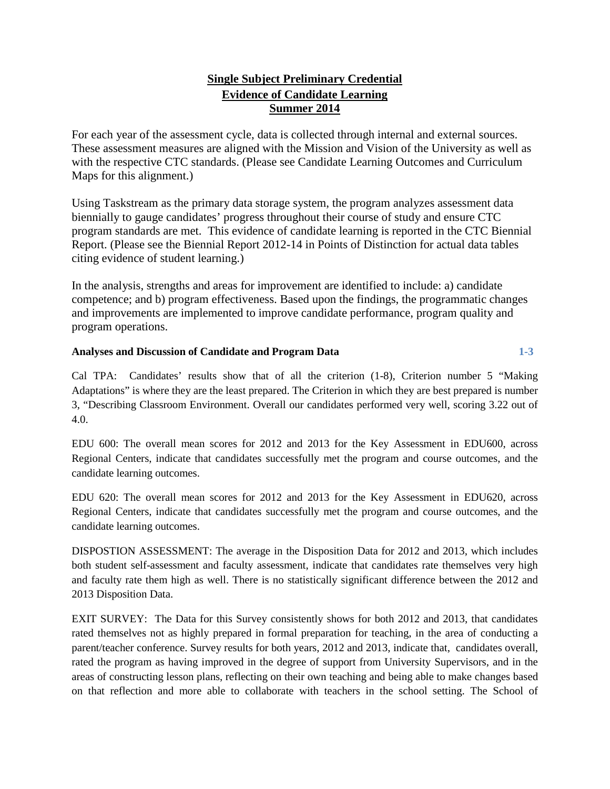## **Single Subject Preliminary Credential Evidence of Candidate Learning Summer 2014**

For each year of the assessment cycle, data is collected through internal and external sources. These assessment measures are aligned with the Mission and Vision of the University as well as with the respective CTC standards. (Please see Candidate Learning Outcomes and Curriculum Maps for this alignment.)

Using Taskstream as the primary data storage system, the program analyzes assessment data biennially to gauge candidates' progress throughout their course of study and ensure CTC program standards are met. This evidence of candidate learning is reported in the CTC Biennial Report. (Please see the Biennial Report 2012-14 in Points of Distinction for actual data tables citing evidence of student learning.)

In the analysis, strengths and areas for improvement are identified to include: a) candidate competence; and b) program effectiveness. Based upon the findings, the programmatic changes and improvements are implemented to improve candidate performance, program quality and program operations.

## **Analyses and Discussion of Candidate and Program Data 1-3**

Cal TPA: Candidates' results show that of all the criterion (1-8), Criterion number 5 "Making Adaptations" is where they are the least prepared. The Criterion in which they are best prepared is number 3, "Describing Classroom Environment. Overall our candidates performed very well, scoring 3.22 out of 4.0.

EDU 600: The overall mean scores for 2012 and 2013 for the Key Assessment in EDU600, across Regional Centers, indicate that candidates successfully met the program and course outcomes, and the candidate learning outcomes.

EDU 620: The overall mean scores for 2012 and 2013 for the Key Assessment in EDU620, across Regional Centers, indicate that candidates successfully met the program and course outcomes, and the candidate learning outcomes.

DISPOSTION ASSESSMENT: The average in the Disposition Data for 2012 and 2013, which includes both student self-assessment and faculty assessment, indicate that candidates rate themselves very high and faculty rate them high as well. There is no statistically significant difference between the 2012 and 2013 Disposition Data.

EXIT SURVEY: The Data for this Survey consistently shows for both 2012 and 2013, that candidates rated themselves not as highly prepared in formal preparation for teaching, in the area of conducting a parent/teacher conference. Survey results for both years, 2012 and 2013, indicate that, candidates overall, rated the program as having improved in the degree of support from University Supervisors, and in the areas of constructing lesson plans, reflecting on their own teaching and being able to make changes based on that reflection and more able to collaborate with teachers in the school setting. The School of